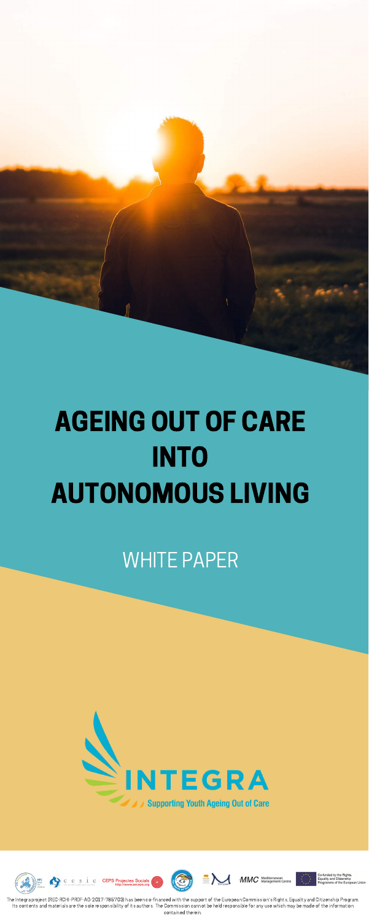# AGEING OUT OF CARE **INTO** AUTONOMOUS LIVING

# WHITE PAPER





The Integra project (REC-RCHI-PROF-AG-2017-785703) has been co-financed with the support of the European Commission's Rights, Equality and Citizenship Program. Its contents and materials are the sole responsibility of its authors. The Commission cannot be held responsible for any use which may be made of the information contained therein.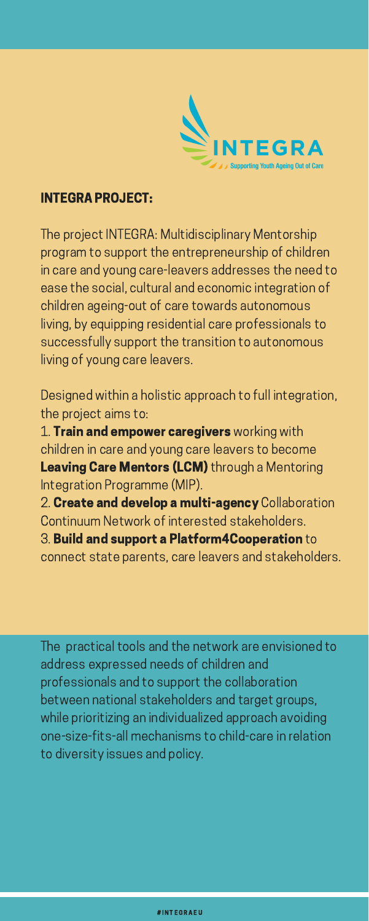

# INTEGRA PROJECT:

The project INTEGRA: Multidisciplinary Mentorship program to support the entrepreneurship of children in care and young care-leavers addresses the need to ease the social, cultural and economic integration of children ageing-out of care towards autonomous living, by equipping residential care professionals to successfully support the transition to autonomous living of young care leavers.

1. Train and empower caregivers working with children in care and young care leavers to become Leaving Care Mentors (LCM) through a Mentoring Integration Programme (MIP).

2. Create and develop a multi-agency Collaboration Continuum Network of interested stakeholders.

Designed within a holistic approach to full integration, the project aims to:

# 3. Build and support a Platform4Cooperation to

The practical tools and the network are envisioned to address expressed needs of children and professionals and to support the collaboration between national stakeholders and target groups, while prioritizing an individualized approach avoiding one-size-fits-all mechanisms to child-care in relation to diversity issues and policy.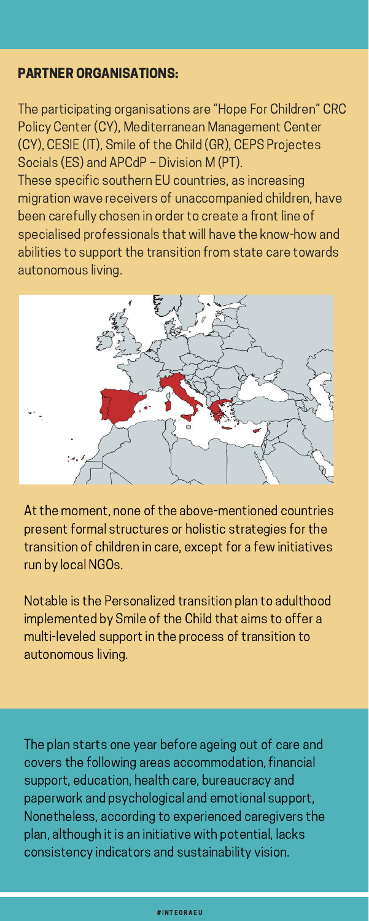# PARTNER ORGANISATIONS:

The participating organisations are "Hope For Children" CRC Policy Center (CY), Mediterranean Management Center (CY), CESIE (IT), Smile of the Child (GR), CEPS Projectes Socials (ES) and APCdP – Division M (PT). These specific southern EU countries, as increasing migration wave receivers of unaccompanied children, have been carefully chosen in order to create a front line of specialised professionals that will have the know-how and abilities to support the transition from state care towards autonomous living.



At the moment, none of the above-mentioned countries present formal structures or holistic strategies for the transition of children in care, except for a few initiatives

run by local NGOs.

Notable is the Personalized transition plan to adulthood implemented by Smile of the Child that aims to offer a multi-leveled support in the process of transition to autonomous living.

The plan starts one year before ageing out of care and covers the following areas accommodation, financial support, education, health care, bureaucracy and paperwork and psychological and emotional support, Nonetheless, according to experienced caregivers the plan, although it is an initiative with potential, lacks consistency indicators and sustainability vision.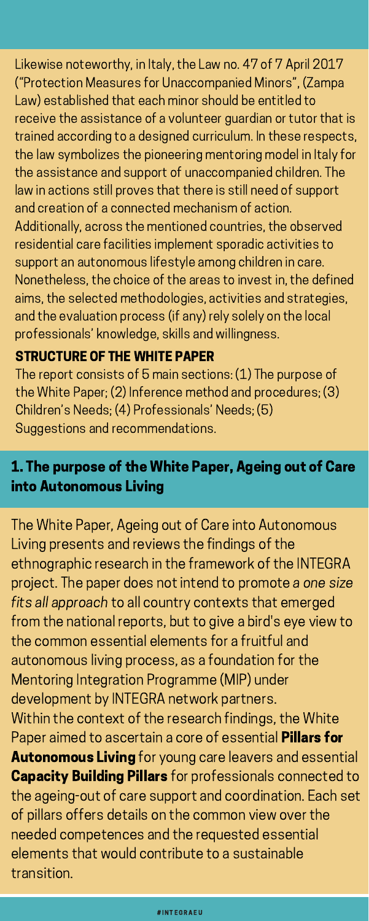Likewise noteworthy, in Italy, the Law no. 47 of 7 April 2017 ("Protection Measures for Unaccompanied Minors", (Zampa Law) established that each minor should be entitled to receive the assistance of a volunteer guardian or tutor that is trained according to a designed curriculum. In these respects, the law symbolizes the pioneering mentoring model in Italy for the assistance and support of unaccompanied children. The law in actions still proves that there is still need of support and creation of a connected mechanism of action. Additionally, across the mentioned countries, the observed residential care facilities implement sporadic activities to support an autonomous lifestyle among children in care. Nonetheless, the choice of the areas to invest in, the defined aims, the selected methodologies, activities and strategies, and the evaluation process (if any) rely solely on the local professionals' knowledge, skills and willingness.

The report consists of 5 main sections: (1) The purpose of the White Paper; (2) Inference method and procedures; (3) Children's Needs; (4) Professionals' Needs; (5) Suggestions and recommendations.

# STRUCTURE OF THE WHITE PAPER

# 1. The purpose of the White Paper, Ageing out of Care into Autonomous Living

The White Paper, Ageing out of Care into Autonomous Living presents and reviews the findings of the

ethnographic research in the framework of the INTEGRA project. The paper does not intend to promote a one size fits all approach to all country contexts that emerged from the national reports, but to give a bird's eye view to the common essential elements for a fruitful and autonomous living process, as a foundation for the Mentoring Integration Programme (MIP) under development by INTEGRA network partners. Within the context of the research findings, the White Paper aimed to ascertain a core of essential Pillars for **Autonomous Living** for young care leavers and essential **Capacity Building Pillars** for professionals connected to the ageing-out of care support and coordination. Each set of pillars offers details on the common view over the needed competences and the requested essential elements that would contribute to a sustainable transition.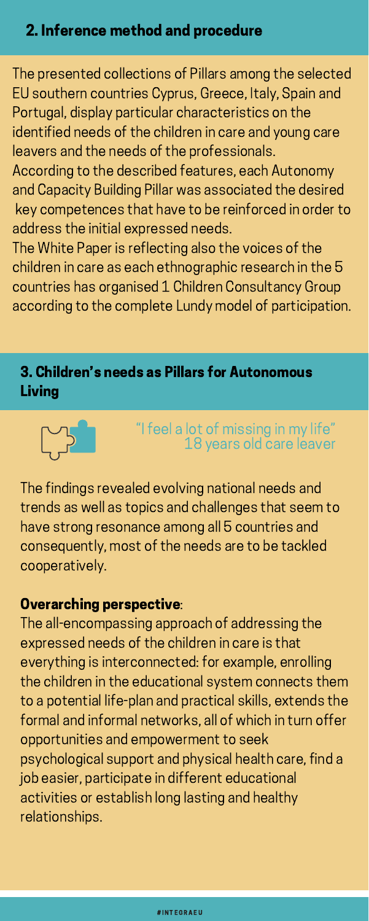The presented collections of Pillars among the selected EU southern countries Cyprus, Greece, Italy, Spain and Portugal, display particular characteristics on the identified needs of the children in care and young care leavers and the needs of the professionals. According to the described features, each Autonomy and Capacity Building Pillar was associated the desired key competences that have to be reinforced in order to address the initial expressed needs.

The White Paper is reflecting also the voices of the children in care as each ethnographic research in the 5 countries has organised 1 Children Consultancy Group according to the complete Lundy model of participation.

# 2. Inference method and procedure

# 3. Children's needs as Pillars for Autonomous Living



# "I feel a lot of missing in my life " 18 years old care leaver

The findings revealed evolving national needs and trends as well as topics and challenges that seem to have strong resonance among all 5 countries and consequently, most of the needs are to be tackled cooperatively.

# Overarching perspective:

The all-encompassing approach of addressing the expressed needs of the children in care is that everything is interconnected: for example, enrolling the children in the educational system connects them to a potential life-plan and practical skills, extends the formal and informal networks, all of which in turn offer opportunities and empowerment to seek psychological support and physical health care, find a job easier, participate in different educational activities or establish long lasting and healthy relationships.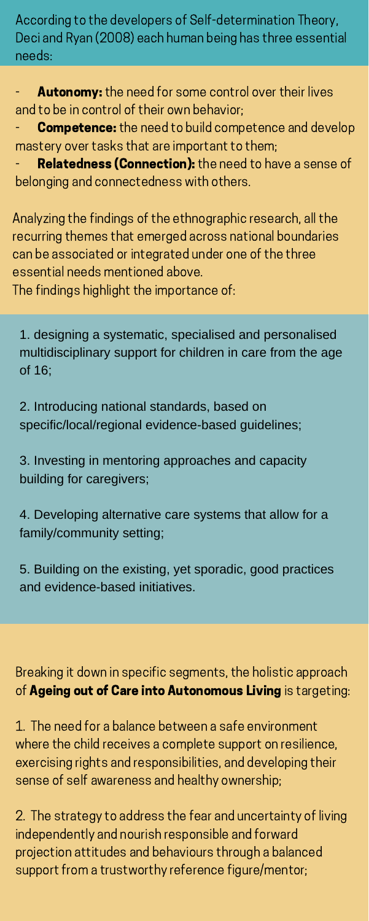According to the developers of Self-determination Theory, Deci and Ryan (2008) each human being has three essential needs:

Autonomy: the need for some control over their lives and to be in control of their own behavior;

**Competence:** the need to build competence and develop mastery over tasks that are important to them;

Relatedness (Connection): the need to have a sense of belonging and connectedness with others.

Analyzing the findings of the ethnographic research, all the recurring themes that emerged across national boundaries can be associated or integrated under one of the three essential needs mentioned above.

Breaking it down in specific segments, the holistic approach of Ageing out of Care into Autonomous Living is targeting:

The findings highlight the importance of:

1. designing a systematic, specialised and personalised multidisciplinary support for children in care from the age of 16;

2. Introducing national standards, based on specific/local/regional evidence-based guidelines;

3. Investing in mentoring approaches and capacity building for caregivers;

4. Developing alternative care systems that allow for a family/community setting;

5. Building on the existing, yet sporadic, good practices and evidence-based initiatives.

1. The need for a balance between a safe environment where the child receives a complete support on resilience, exercising rights and responsibilities, and developing their sense of self awareness and healthy ownership;

2. The strategy to address the fear and uncertainty of living independently and nourish responsible and forward projection attitudes and behaviours through a balanced support from a trustworthy reference figure/mentor;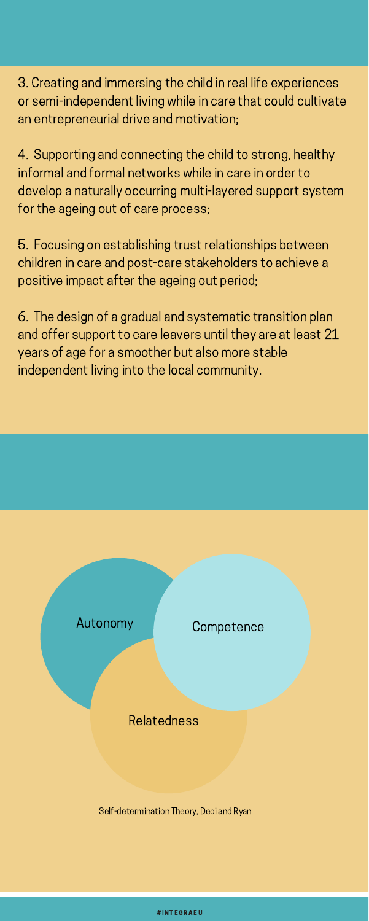3. Creating and immersing the child in real life experiences or semi-independent living while in care that could cultivate an entrepreneurial drive and motivation;

4. Supporting and connecting the child to strong, healthy informal and formal networks while in care in order to develop a naturally occurring multi-layered support system for the ageing out of care process;

5. Focusing on establishing trust relationships between children in care and post-care stakeholders to achieve a positive impact after the ageing out period;

6. The design of a gradual and systematic transition plan and offer support to care leavers until they are at least 21 years of age for a smoother but also more stable independent living into the local community.

# Autonomy

#### **Competence**

# Relatedness

Self-determination Theory, Deci and Ryan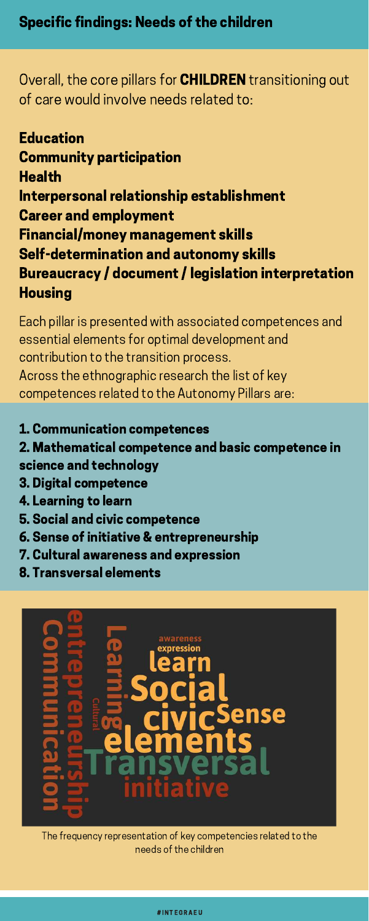Overall, the core pillars for **CHILDREN** transitioning out of care would involve needs related to:

**Education** Community participation Health Interpersonal relationship establishment Career and employment Financial/money management skills Self-determination and autonomy skills Bureaucracy / document / legislation interpretation **Housing** 

The frequency representation of key competencies related to the needs of the children

Each pillar is presented with associated competences and essential elements for optimal development and contribution to the transition process. Across the ethnographic research the list of key competences related to the Autonomy Pillars are:

# 1. Communication competences

2. Mathematical competence and basic competence in science and technology

- 3. Digital competence
- 4. Learning to learn
- 5. Social and civic competence
- 6. Sense of initiative & entrepreneurship
- 

7. Cultural awareness and expression

8. Transversal elements

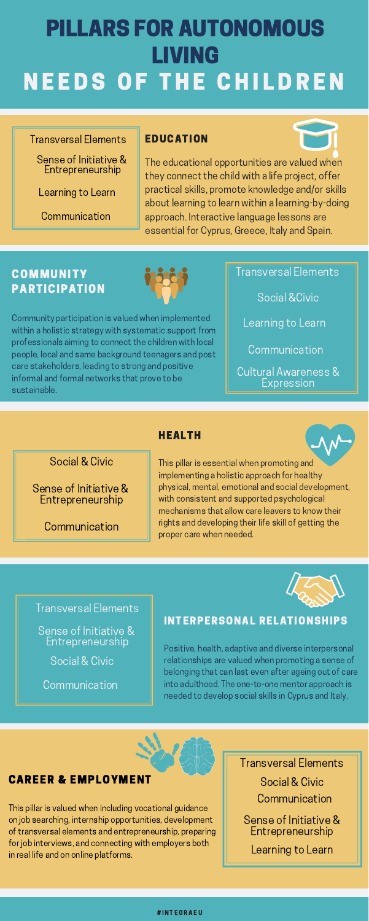# EDUCATION

The educational opportunities are valued when they connect the child with a life project, offer practical skills, promote knowledge and/or skills about learning to learn within a learning-by-doing approach. Interactive language lessons are essential for Cyprus, Greece, Italy and Spain.

# **COMMUNITY** PARTICIPATION



Transversal Elements Social &Civic Learning to Learn **Communication** Cultural Awareness & Expression

Community participation is valued when implemented within a holistic strategy with systematic support from professionals aiming to connect the children with local people, local and same background teenagers and post care stakeholders, leading to strong and positive informal and formal networks that prove to be sustainable.

#### INTERPERSONAL RELATIONSHIPS

Positive, health, adaptive and diverse interpersonal relationships are valued when promoting a sense of belonging that can last even after ageing out of care into adulthood. The one-to-one mentor approach is needed to develop social skills in Cyprus and Italy.

#### HEALTH



This pillar is essential when promoting and implementing a holistic approach for healthy physical, mental, emotional and social development, with consistent and supported psychological mechanisms that allow care leavers to know their rights and developing their life skill of getting the proper care when needed.



# PILLARS FOR AUTONOMOUS LIVING NEEDS OF THE CHILDREN

#### Transversal Elements

Sense of Initiative & Entrepreneurship

Learning to Learn

Communication

#### CAREER & EMPLOYMENT

This pillar is valued when including vocational guidance on job searching, internship opportunities, development of transversal elements and entrepreneurship, preparing for job interviews, and connecting with employers both in real life and on online platforms.

# Social & Civic

Sense of Initiative & Entrepreneurship

**Communication** 

#### Transversal Elements

Sense of Initiative & Entrepreneurship Social & Civic

**Communication** 

Transversal Elements Social & Civic Communication Sense of Initiative & Entrepreneurship Learning to Learn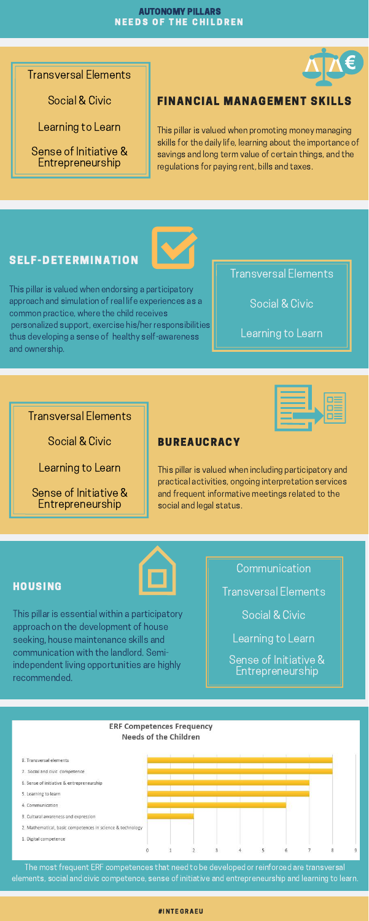Sense of Initiative & Entrepreneurship Learning to Learn Transversal Elements Social & Civic **Communication** 

#### **ERF Competences Frequency Needs of the Children**



### FINANCIAL MANAGEMENT SKILLS

This pillar is valued when promoting money managing skills for the daily life, learning about the importance of savings and long term value of certain things, and the regulations for paying rent, bills and taxes.

#### HOUSING



This pillar is essential within a participatory approach on the development of house seeking, house maintenance skills and communication with the landlord. Semiindependent living opportunities are highly recommended.

#### BUREAUCRACY

This pillar is valued when including participatory and practical activities, ongoing interpretation services and frequent informative meetings related to the social and legal status.





#### # INT EGR A EU

#### SELF-DETERMINATION

This pillar is valued when endorsing a participatory approach and simulation of real life experiences as a common practice, where the child receives personalized support, exercise his/her responsibilities thus developing a sense of healthy self-awareness and ownership.

#### AUTONOMY PILLARS **NEEDS OF THE CHILDREN**



Transversal Elements

Social & Civic

Learning to Learn

Sense of Initiative & Entrepreneurship

> Transversal Elements Social & Civic Learning to Learn

Sense of Initiative & Entrepreneurship

Learning to Learn

Transversal Elements

Social & Civic

The most frequent ERF competences that need to be developed or reinforced are transversal elements, social and civic competence, sense of initiative and entrepreneurship and learning to learn.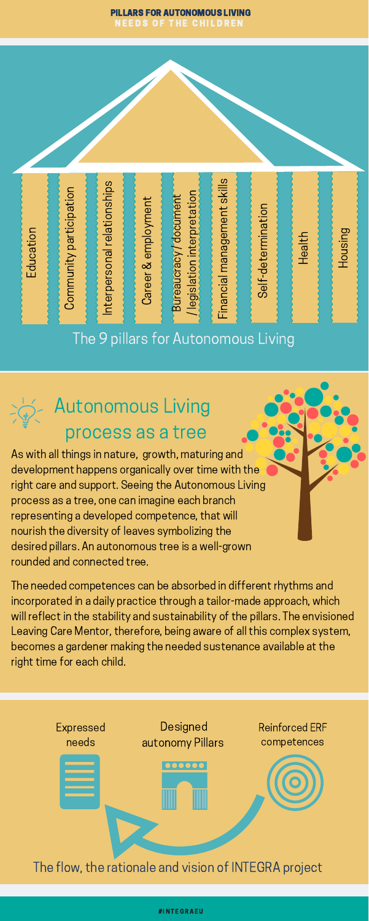

#### PILLARS FOR AUTONOMOUS LIVING NEEDS OF THE CHILDREN



# Autonomous Living

# process as a tree

As with all things in nature, growth, maturing and development happens organically over time with the right care and support. Seeing the Autonomous Living process as a tree, one can imagine each branch representing a developed competence, that will nourish the diversity of leaves symbolizing the desired pillars. An autonomous tree is a well-grown

rounded and connected tree.

The needed competences can be absorbed in different rhythms and incorporated in a daily practice through a tailor-made approach, which will reflect in the stability and sustainability of the pillars. The envisioned Leaving Care Mentor, therefore, being aware of all this complex system, becomes a gardener making the needed sustenance available at the right time for each child.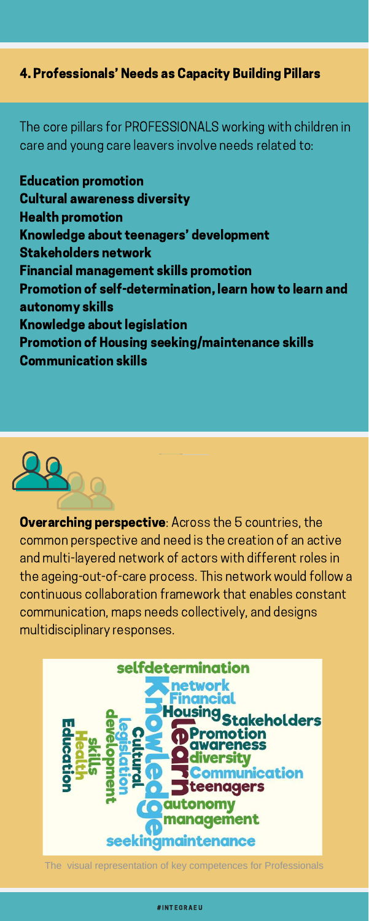# 4. Professionals' Needs as Capacity Building Pillars

The core pillars for PROFESSIONALS working with children in care and young care leavers involve needs related to:

**Overarching perspective:** Across the 5 countries, the common perspective and need is the creation of an active

Education promotion Cultural awareness diversity Health promotion Knowledge about teenagers' development Stakeholders network Financial management skills promotion Promotion of self-determination, learn how to learn and autonomy skills Knowledge about legislation Promotion of Housing seeking/maintenance skills Communication skills



and multi-layered network of actors with different roles in the ageing-out-of-care process. This network would follow a continuous collaboration framework that enables constant communication, maps needs collectively, and designs multidisciplinary responses.



The visual representation of key competences for Professionals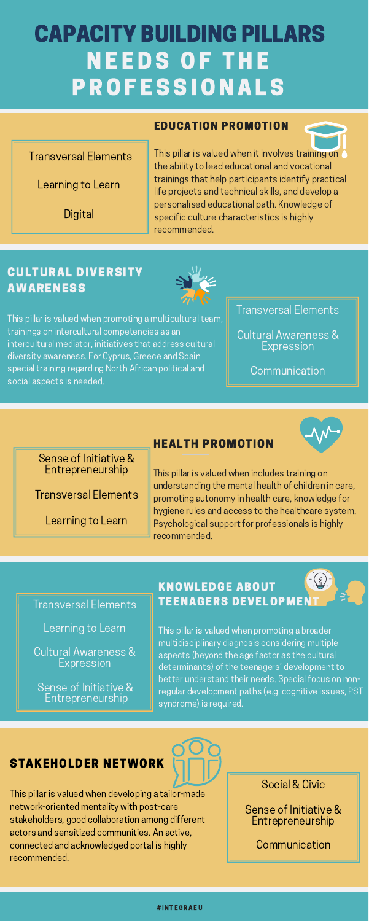# CAPACITY BUILDING PILLARS **NEEDS OF THE PROFESSIONALS**

#### EDUCATION PROMOTION

This pillar is valued when it involves training on the ability to lead educational and vocational trainings that help participants identify practical life projects and technical skills, and develop a personalised educational path. Knowledge of specific culture characteristics is highly recommended.

### HEALTH PROMOTION



Cultural Awareness & **Expression** 

This pillar is valued when includes training on understanding the mental health of children in care, promoting autonomy in health care, knowledge for hygiene rules and access to the healthcare system. Psychological support for professionals is highly recommended.

### Transversal Elements

Learning to Learn

Digital

Transversal Elements

Sense of Initiative & Entrepreneurship

#### Sense of Initiative & Entrepreneurship

# KNOWLEDGE ABOUT **TEENAGERS DEVELOPME**

Transversal Elements

Learning to Learn

Learning to Learn

Social & Civic

# STAKEHOLDER NETWORK

This pillar is valued when developing a tailor-made network-oriented mentality with post-care stakeholders, good collaboration among different actors and sensitized communities. An active, connected and acknowledged portal is highly recommended.

Sense of Initiative & Entrepreneurship

**Communication** 

# CULTURAL DIVERSITY AWARENESS



This pillar is valued when promoting a multicultural team, trainings on intercultural competencies as an intercultural mediator, initiatives that address cultural diversity awareness. For Cyprus, Greece and Spain special training regarding North African political and social aspects is needed.

Transversal Elements

Cultural Awareness & Expression

**Communication** 

This pillar is valued when promoting a broader multidisciplinary diagnosis considering multiple aspects (beyond the age factor as the cultural determinants) of the teenagers' development to better understand their needs. Special focus on nonregular development paths (e.g. cognitive issues, PST syndrome) is required.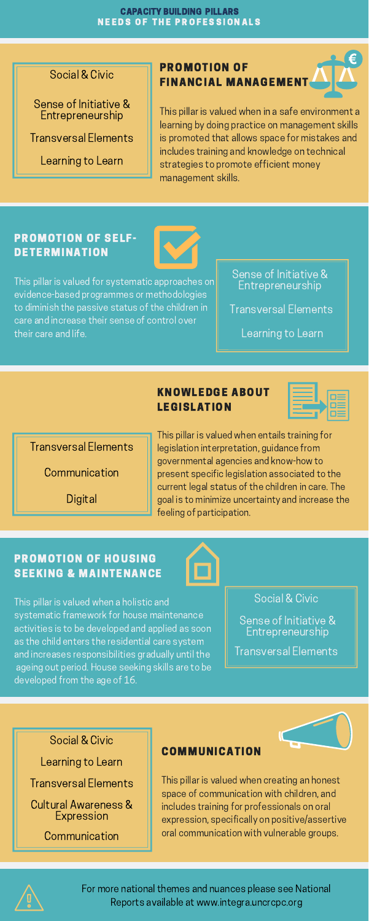# PROMOTION OF FINANCIAL MANAGEMENT

This pillar is valued when in a safe environment a learning by doing practice on management skills is promoted that allows space for mistakes and includes training and knowledge on technical strategies to promote efficient money management skills.

### PROMOTION OF HOUSING SEEKING & MAINTENANCE



This pillar is valued when a holistic and systematic framework for house maintenance activities is to be developed and applied as soon as the child enters the residential care system and increases responsibilities gradually until the ageing out period. House seeking skills are to be developed from the age of 16.

# KNOWLEDGE ABOUT LEGISLATION

This pillar is valued when entails training for legislation interpretation, guidance from governmental agencies and know-how to present specific legislation associated to the current legal status of the children in care. The goal is to minimize uncertainty and increase the feeling of participation.

# PROMOTION OF SELF-DETERMINATION



This pillar is valued for systematic approaches on evidence-based programmes or methodologies to diminish the passive status of the children in care and increase their sense of control over their care and life.

Social & Civic

Sense of Initiative & Entrepreneurship

Transversal Elements

Learning to Learn

Sense of Initiative & Entrepreneurship

Transversal Elements

Learning to Learn

Transversal Elements

Digital

Communication

#### Social & Civic

Sense of Initiative & Entrepreneurship

Transversal Elements

#### COMMUNICATION



This pillar is valued when creating an honest space of communication with children, and includes training for professionals on oral expression, specifically on positive/assertive oral communication with vulnerable groups.



Transversal Elements

Social & Civic

Learning to Learn

Cultural Awareness & Expression

**Communication** 

For more national themes and nuances please see National Reports available at www.integra.uncrcpc.org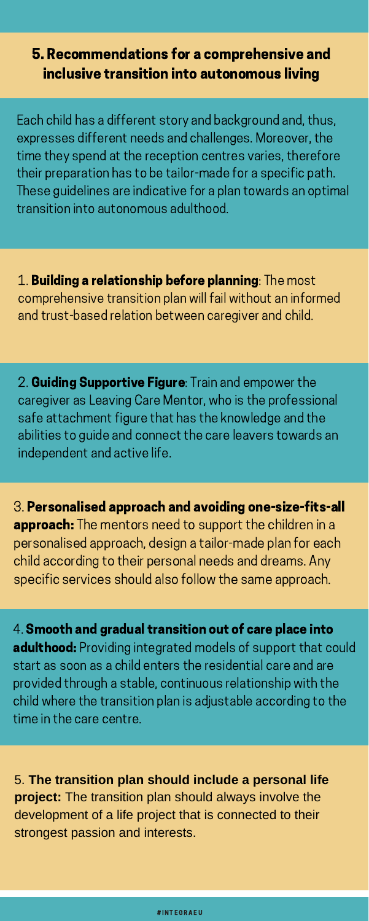# 5. Recommendations for a comprehensive and inclusive transition into autonomous living

Each child has a different story and background and, thus, expresses different needs and challenges. Moreover, the time they spend at the reception centres varies, therefore their preparation has to be tailor-made for a specific path. These guidelines are indicative for a plan towards an optimal transition into autonomous adulthood.

1. Building a relationship before planning: The most comprehensive transition plan will fail without an informed and trust-based relation between caregiver and child.

2. Guiding Supportive Figure: Train and empower the caregiver as Leaving Care Mentor, who is the professional safe attachment figure that has the knowledge and the abilities to guide and connect the care leavers towards an independent and active life.

3. Personalised approach and avoiding one-size-fits-all approach: The mentors need to support the children in a personalised approach, design a tailor-made plan for each

child according to their personal needs and dreams. Any specific services should also follow the same approach.

4. Smooth and gradual transition out of care place into adulthood: Providing integrated models of support that could start as soon as a child enters the residential care and are provided through a stable, continuous relationship with the child where the transition plan is adjustable according to the time in the care centre.

5. **The transition plan should include a personal life project:** The transition plan should always involve the development of a life project that is connected to their strongest passion and interests.